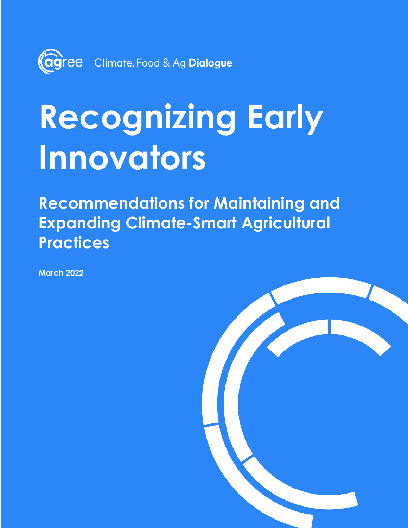

# **Recognizing Early Innovators**

**Recommendations for Maintaining and Expanding Climate-Smart Agricultural Practices**

**March 2022**

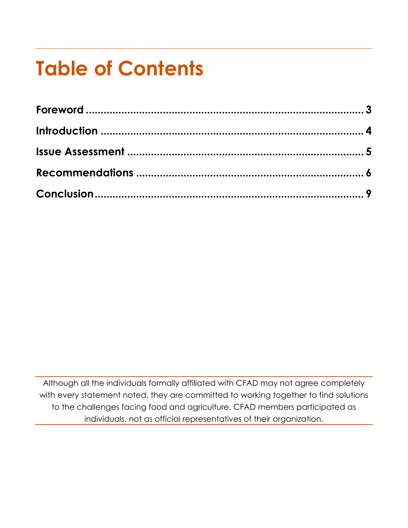## **Table of Contents**

Although all the individuals formally affiliated with CFAD may not agree completely with every statement noted, they are committed to working together to find solutions to the challenges facing food and agriculture. CFAD members participated as individuals, not as official representatives of their organization.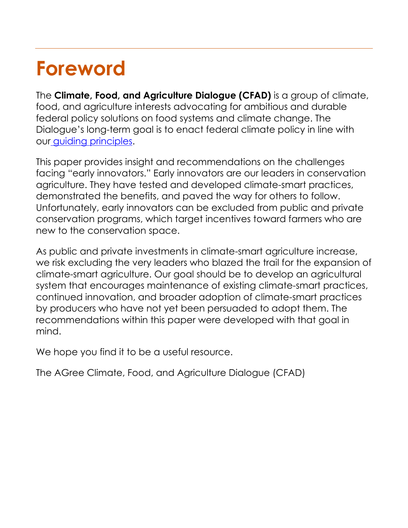## **Foreword**

The **Climate, Food, and Agriculture Dialogue (CFAD)** is a group of climate, food, and agriculture interests advocating for ambitious and durable federal policy solutions on food systems and climate change. The Dialogue's long-term goal is to enact federal climate policy in line with our [guiding principles.](https://climatefoodag.org/guiding-principles/)

This paper provides insight and recommendations on the challenges facing "early innovators." Early innovators are our leaders in conservation agriculture. They have tested and developed climate-smart practices, demonstrated the benefits, and paved the way for others to follow. Unfortunately, early innovators can be excluded from public and private conservation programs, which target incentives toward farmers who are new to the conservation space.

As public and private investments in climate-smart agriculture increase, we risk excluding the very leaders who blazed the trail for the expansion of climate-smart agriculture. Our goal should be to develop an agricultural system that encourages maintenance of existing climate-smart practices, continued innovation, and broader adoption of climate-smart practices by producers who have not yet been persuaded to adopt them. The recommendations within this paper were developed with that goal in mind.

We hope you find it to be a useful resource.

The AGree Climate, Food, and Agriculture Dialogue (CFAD)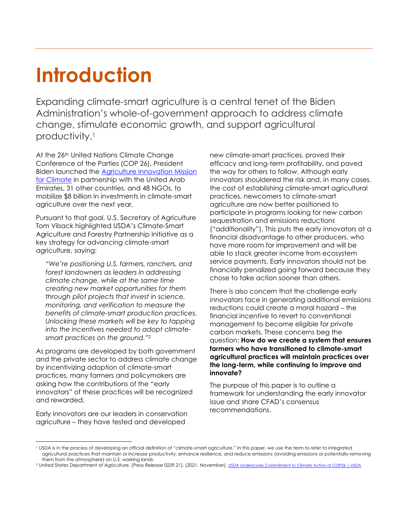#### **Introduction**

Expanding climate-smart agriculture is a central tenet of the Biden Administration's whole-of-government approach to address climate change, stimulate economic growth, and support agricultural productivity. 1

At the 26<sup>th</sup> United Nations Climate Change Conference of the Parties (COP 26), President Biden launched the [Agriculture Innovation Mission](https://www.usda.gov/media/press-releases/2021/11/02/launching-agriculture-innovation-mission-climate)  [for Climate](https://www.usda.gov/media/press-releases/2021/11/02/launching-agriculture-innovation-mission-climate) in partnership with the United Arab Emirates, 31 other countries, and 48 NGOs, to mobilize \$8 billion in investments in climate-smart agriculture over the next year.

Pursuant to that goal, U.S. Secretary of Agriculture Tom Vilsack highlighted USDA's Climate-Smart Agriculture and Forestry Partnership Initiative as a key strategy for advancing climate-smart agriculture, saying:

*"We're positioning U.S. farmers, ranchers, and forest landowners as leaders in addressing climate change, while at the same time creating new market opportunities for them through pilot projects that invest in science, monitoring, and verification to measure the benefits of climate-smart production practices. Unlocking these markets will be key to tapping into the incentives needed to adopt climatesmart practices on the ground." 2*

As programs are developed by both government and the private sector to address climate change by incentivizing adoption of climate-smart practices, many farmers and policymakers are asking how the contributions of the "early innovators" of these practices will be recognized and rewarded.

Early innovators are our leaders in conservation agriculture – they have tested and developed

new climate-smart practices, proved their efficacy and long-term profitability, and paved the way for others to follow. Although early innovators shouldered the risk and, in many cases, the cost of establishing climate-smart agricultural practices, newcomers to climate-smart agriculture are now better positioned to participate in programs looking for new carbon sequestration and emissions reductions ("additionality"). This puts the early innovators at a financial disadvantage to other producers, who have more room for improvement and will be able to stack greater income from ecosystem service payments. Early innovators should not be financially penalized going forward because they chose to take action sooner than others.

There is also concern that the challenge early innovators face in generating additional emissions reductions could create a moral hazard – the financial incentive to revert to conventional management to become eligible for private carbon markets. These concerns beg the question: **How do we create a system that ensures farmers who have transitioned to climate-smart agricultural practices will maintain practices over the long-term, while continuing to improve and innovate?**

The purpose of this paper is to outline a framework for understanding the early innovator issue and share CFAD's consensus recommendations.

<sup>1</sup> USDA is in the process of developing an official definition of "climate-smart agriculture." In this paper, we use the term to refer to integrated agricultural practices that maintain or increase productivity, enhance resilience, and reduce emissions (avoiding emissions or potentially removing them from the atmosphere) on U.S. working lands.

<sup>2</sup> United States Department of Agriculture. [Press Release 0239.21]. (2021, November). [USDA Underscores Commitment to Climate Action at COP26 | USDA](https://www.usda.gov/media/press-releases/2021/11/05/usda-underscores-commitment-climate-action-cop26)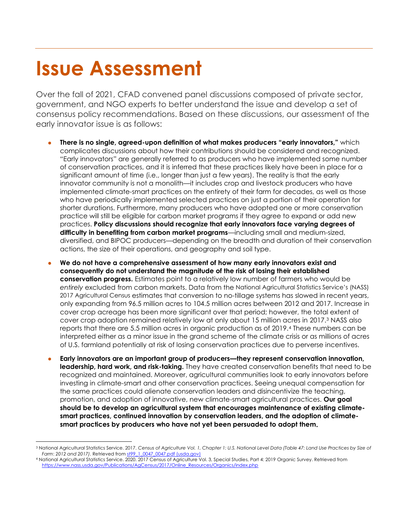## **Issue Assessment**

Over the fall of 2021, CFAD convened panel discussions composed of private sector, government, and NGO experts to better understand the issue and develop a set of consensus policy recommendations. Based on these discussions, our assessment of the early innovator issue is as follows:

- **There is no single, agreed-upon definition of what makes producers "early innovators,"** which complicates discussions about how their contributions should be considered and recognized. "Early innovators" are generally referred to as producers who have implemented some number of conservation practices, and it is inferred that these practices likely have been in place for a significant amount of time (i.e., longer than just a few years). The reality is that the early innovator community is not a monolith—it includes crop and livestock producers who have implemented climate-smart practices on the entirety of their farm for decades, as well as those who have periodically implemented selected practices on just a portion of their operation for shorter durations. Furthermore, many producers who have adopted one or more conservation practice will still be eligible for carbon market programs if they agree to expand or add new practices. **Policy discussions should recognize that early innovators face varying degrees of difficulty in benefiting from carbon market programs**—including small and medium-sized, diversified, and BIPOC producers—depending on the breadth and duration of their conservation actions, the size of their operations, and geography and soil type.
- **We do not have a comprehensive assessment of how many early innovators exist and consequently do not understand the magnitude of the risk of losing their established conservation progress.** Estimates point to a relatively low number of farmers who would be *entirely* excluded from carbon markets. Data from the National Agricultural Statistics Service's (NASS) 2017 Agricultural Census estimates that conversion to no-tillage systems has slowed in recent years, only expanding from 96.5 million acres to 104.5 million acres between 2012 and 2017. Increase in cover crop acreage has been more significant over that period; however, the total extent of cover crop adoption remained relatively low at only about 15 million acres in 2017.<sup>3</sup> NASS also reports that there are 5.5 million acres in organic production as of 2019.<sup>4</sup> These numbers can be interpreted either as a minor issue in the grand scheme of the climate crisis or as millions of acres of U.S. farmland potentially at risk of losing conservation practices due to perverse incentives.
- **Early innovators are an important group of producers—they represent conservation innovation, leadership, hard work, and risk-taking.** They have created conservation benefits that need to be recognized and maintained. Moreover, agricultural communities look to early innovators before investing in climate-smart and other conservation practices. Seeing unequal compensation for the same practices could alienate conservation leaders and disincentivize the teaching, promotion, and adoption of innovative, new climate-smart agricultural practices. **Our goal should be to develop an agricultural system that encourages maintenance of existing climatesmart practices, continued innovation by conservation leaders, and the adoption of climatesmart practices by producers who have not yet been persuaded to adopt them.**

<sup>3</sup> National Agricultural Statistics Service. 2017. *Census of Agriculture Vol. 1, Chapter 1: U.S. National Level Data (Table 47: Land Use Practices by Size of Farm*: *2012 and 2017)*. Retrieved fro[m st99\\_1\\_0047\\_0047.pdf \(usda.gov\)](https://www.nass.usda.gov/Publications/AgCensus/2017/Full_Report/Volume_1,_Chapter_1_US/st99_1_0047_0047.pdf) 

<sup>4</sup> National Agricultural Statistics Service. 2020. 2017 Census of Agriculture Vol. 3, Special Studies, Part 4: 2019 Organic Survey. Retrieved from [https://www.nass.usda.gov/Publications/AgCensus/2017/Online\\_Resources/Organics/index.php](https://www.nass.usda.gov/Publications/AgCensus/2017/Online_Resources/Organics/index.php)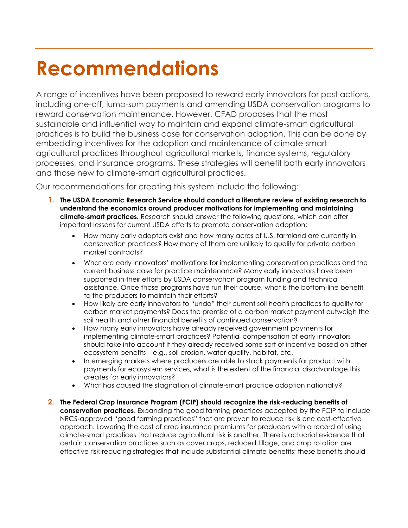## **Recommendations**

A range of incentives have been proposed to reward early innovators for past actions, including one-off, lump-sum payments and amending USDA conservation programs to reward conservation maintenance. However, CFAD proposes that the most sustainable and influential way to maintain and expand climate-smart agricultural practices is to build the business case for conservation adoption. This can be done by embedding incentives for the adoption and maintenance of climate-smart agricultural practices throughout agricultural markets, finance systems, regulatory processes, and insurance programs. These strategies will benefit both early innovators and those new to climate-smart agricultural practices.

Our recommendations for creating this system include the following:

- **1. The USDA Economic Research Service should conduct a literature review of existing research to understand the economics around producer motivations for implementing and maintaining climate-smart practices.** Research should answer the following questions, which can offer important lessons for current USDA efforts to promote conservation adoption:
	- How many early adopters exist and how many acres of U.S. farmland are currently in conservation practices? How many of them are unlikely to qualify for private carbon market contracts?
	- What are early innovators' motivations for implementing conservation practices and the current business case for practice maintenance? Many early innovators have been supported in their efforts by USDA conservation program funding and technical assistance. Once those programs have run their course, what is the bottom-line benefit to the producers to maintain their efforts?
	- How likely are early innovators to "undo" their current soil health practices to qualify for carbon market payments? Does the promise of a carbon market payment outweigh the soil health and other financial benefits of continued conservation?
	- How many early innovators have already received government payments for implementing climate-smart practices? Potential compensation of early innovators should take into account if they already received some sort of incentive based on other ecosystem benefits – e.g., soil erosion, water quality, habitat, etc.
	- In emerging markets where producers are able to stack payments for product with payments for ecosystem services, what is the extent of the financial disadvantage this creates for early innovators?
	- What has caused the stagnation of climate-smart practice adoption nationally?
- **2. The Federal Crop Insurance Program (FCIP) should recognize the risk-reducing benefits of conservation practices**. Expanding the good farming practices accepted by the FCIP to include NRCS-approved "good farming practices" that are proven to reduce risk is one cost-effective approach. Lowering the cost of crop insurance premiums for producers with a record of using climate-smart practices that reduce agricultural risk is another. There is actuarial evidence that certain conservation practices such as cover crops, reduced tillage, and crop rotation are effective risk-reducing strategies that include substantial climate benefits; these benefits should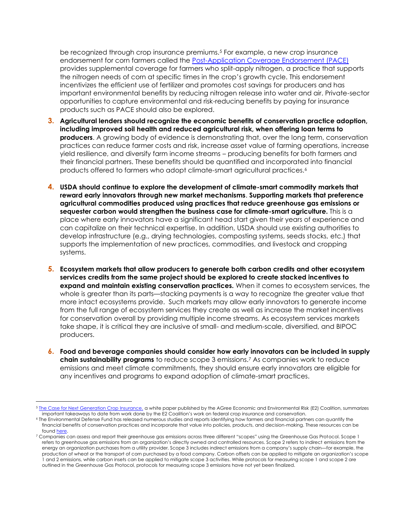be recognized through crop insurance premiums.<sup>5</sup> For example, a new crop insurance endorsement for corn farmers called the [Post-Application Coverage Endorsement \(PACE\)](https://pacecropinsurance.com/) provides supplemental coverage for farmers who split-apply nitrogen, a practice that supports the nitrogen needs of corn at specific times in the crop's growth cycle. This endorsement incentivizes the efficient use of fertilizer and promotes cost savings for producers and has important environmental benefits by reducing nitrogen release into water and air. Private-sector opportunities to capture environmental and risk-reducing benefits by paying for insurance products such as PACE should also be explored.

- **3. Agricultural lenders should recognize the economic benefits of conservation practice adoption, including improved soil health and reduced agricultural risk, when offering loan terms to producers**. A growing body of evidence is demonstrating that, over the long term, conservation practices can reduce farmer costs and risk, increase asset value of farming operations, increase yield resilience, and diversify farm income streams – producing benefits for both farmers and their financial partners. These benefits should be quantified and incorporated into financial products offered to farmers who adopt climate-smart agricultural practices.<sup>6</sup>
- **4. USDA should continue to explore the development of climate-smart commodity markets that reward early innovators through new market mechanisms**. **Supporting markets that preference agricultural commodities produced using practices that reduce greenhouse gas emissions or sequester carbon would strengthen the business case for climate-smart agriculture.** This is a place where early innovators have a significant head start given their years of experience and can capitalize on their technical expertise. In addition, USDA should use existing authorities to develop infrastructure (e.g., drying technologies, composting systems, seeds stocks, etc.) that supports the implementation of new practices, commodities, and livestock and cropping systems.
- **5. Ecosystem markets that allow producers to generate both carbon credits and other ecosystem services credits from the same project should be explored to create stacked incentives to expand and maintain existing conservation practices.** When it comes to ecosystem services, the whole is greater than its parts—stacking payments is a way to recognize the greater value that more intact ecosystems provide. Such markets may allow early innovators to generate income from the full range of ecosystem services they create as well as increase the market incentives for conservation overall by providing multiple income streams. As ecosystem services markets take shape, it is critical they are inclusive of small- and medium-scale, diversified, and BIPOC producers.
- **6. Food and beverage companies should consider how early innovators can be included in supply chain sustainability programs** to reduce scope 3 emissions.<sup>7</sup> As companies work to reduce emissions and meet climate commitments, they should ensure early innovators are eligible for any incentives and programs to expand adoption of climate-smart practices.

<sup>&</sup>lt;sup>5</sup> [The Case for Next Generation Crop Insurance,](https://foodandagpolicy.org/wp-content/uploads/sites/4/2021/06/AGree_SynthesisCropInsurancePaper.pdf) a white paper published by the AGree Economic and Environmental Risk (E2) Coalition, summarizes important takeaways to date from work done by the E2 Coalition's work on federal crop insurance and conservation.

<sup>6</sup> The Environmental Defense Fund has released numerous studies and reports identifying how farmers and financial partners can quantify the financial benefits of conservation practices and incorporate that value into policies, products, and decision-making. These resources can be foun[d here.](https://www.edf.org/ecosystems/how-conservation-delivers-value-farm-and-beyond)

<sup>&</sup>lt;sup>7</sup> Companies can assess and report their greenhouse gas emissions across three different "scopes" using the Greenhouse Gas Protocol. Scope 1 refers to greenhouse gas emissions from an organization's directly owned and controlled resources. Scope 2 refers to indirect emissions from the energy an organization purchases from a utility provider. Scope 3 includes indirect emissions from a company's supply chain—for example, the production of wheat or the transport of corn purchased by a food company. Carbon offsets can be applied to mitigate an organization's scope 1 and 2 emissions, while carbon insets can be applied to mitigate scope 3 activities. While protocols for measuring scope 1 and scope 2 are outlined in the Greenhouse Gas Protocol, protocols for measuring scope 3 emissions have not yet been finalized.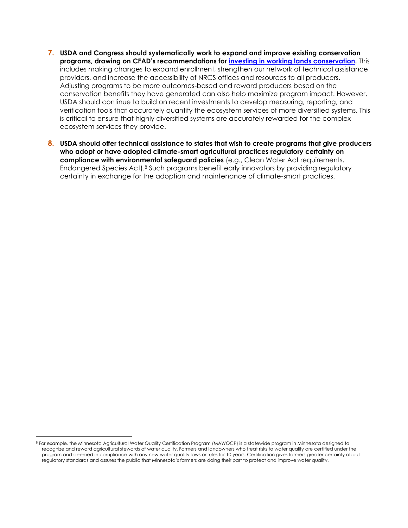- **7. USDA and Congress should systematically work to expand and improve existing conservation programs, drawing on CFAD's recommendations for [investing in working lands conservation.](https://climatefoodag.org/investing-in-working-lands-conservation/)** This includes making changes to expand enrollment, strengthen our network of technical assistance providers, and increase the accessibility of NRCS offices and resources to all producers. Adjusting programs to be more outcomes-based and reward producers based on the conservation benefits they have generated can also help maximize program impact. However, USDA should continue to build on recent investments to develop measuring, reporting, and verification tools that accurately quantify the ecosystem services of more diversified systems. This is critical to ensure that highly diversified systems are accurately rewarded for the complex ecosystem services they provide.
- **8. USDA should offer technical assistance to states that wish to create programs that give producers who adopt or have adopted climate-smart agricultural practices regulatory certainty on compliance with environmental safeguard policies** (e.g., Clean Water Act requirements, Endangered Species Act).<sup>8</sup> Such programs benefit early innovators by providing regulatory certainty in exchange for the adoption and maintenance of climate-smart practices.

<sup>8</sup> For example, the Minnesota Agricultural Water Quality Certification Program (MAWQCP) is a statewide program in Minnesota designed to recognize and reward agricultural stewards of water quality. Farmers and landowners who treat risks to water quality are certified under the program and deemed in compliance with any new water quality laws or rules for 10 years. Certification gives farmers greater certainty about regulatory standards and assures the public that Minnesota's farmers are doing their part to protect and improve water quality.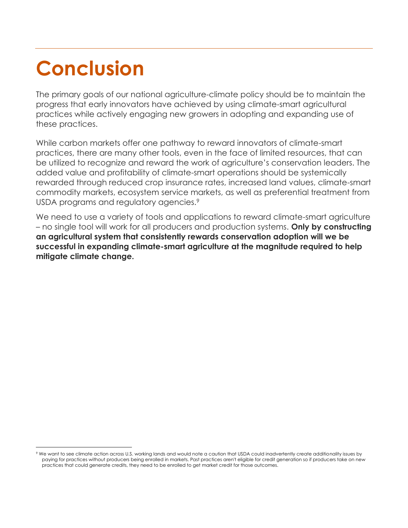## **Conclusion**

The primary goals of our national agriculture-climate policy should be to maintain the progress that early innovators have achieved by using climate-smart agricultural practices while actively engaging new growers in adopting and expanding use of these practices.

While carbon markets offer one pathway to reward innovators of climate-smart practices, there are many other tools, even in the face of limited resources, that can be utilized to recognize and reward the work of agriculture's conservation leaders. The added value and profitability of climate-smart operations should be systemically rewarded through reduced crop insurance rates, increased land values, climate-smart commodity markets, ecosystem service markets, as well as preferential treatment from USDA programs and regulatory agencies.<sup>9</sup>

We need to use a variety of tools and applications to reward climate-smart agriculture – no single tool will work for all producers and production systems. **Only by constructing an agricultural system that consistently rewards conservation adoption will we be successful in expanding climate-smart agriculture at the magnitude required to help mitigate climate change.**

<sup>9</sup> We want to see climate action across U.S. working lands and would note a caution that USDA could inadvertently create additionality issues by paying for practices without producers being enrolled in markets. Past practices aren't eligible for credit generation so if producers take on new practices that could generate credits, they need to be enrolled to get market credit for those outcomes.